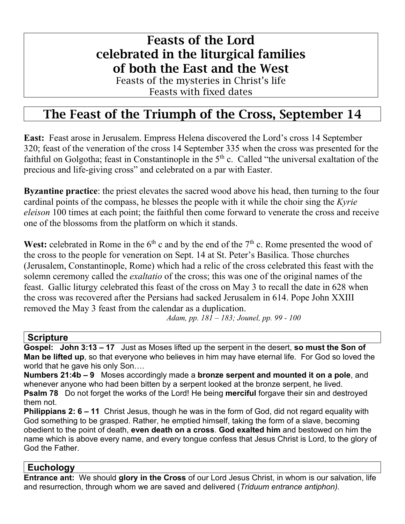# Feasts of the Lord celebrated in the liturgical families of both the East and the West

Feasts of the mysteries in Christ's life Feasts with fixed dates

# The Feast of the Triumph of the Cross, September 14

**East:** Feast arose in Jerusalem. Empress Helena discovered the Lord's cross 14 September 320; feast of the veneration of the cross 14 September 335 when the cross was presented for the faithful on Golgotha; feast in Constantinople in the  $5<sup>th</sup>$  c. Called "the universal exaltation of the precious and life-giving cross" and celebrated on a par with Easter.

**Byzantine practice**: the priest elevates the sacred wood above his head, then turning to the four cardinal points of the compass, he blesses the people with it while the choir sing the *Kyrie eleison* 100 times at each point; the faithful then come forward to venerate the cross and receive one of the blossoms from the platform on which it stands.

**West:** celebrated in Rome in the  $6<sup>th</sup>$  c and by the end of the  $7<sup>th</sup>$  c. Rome presented the wood of the cross to the people for veneration on Sept. 14 at St. Peter's Basilica. Those churches (Jerusalem, Constantinople, Rome) which had a relic of the cross celebrated this feast with the solemn ceremony called the *exaltatio* of the cross; this was one of the original names of the feast. Gallic liturgy celebrated this feast of the cross on May 3 to recall the date in 628 when the cross was recovered after the Persians had sacked Jerusalem in 614. Pope John XXIII removed the May 3 feast from the calendar as a duplication.

*Adam, pp. 181 – 183; Jounel, pp. 99 - 100*

#### **Scripture**

**Gospel: John 3:13 – 17** Just as Moses lifted up the serpent in the desert, **so must the Son of Man be lifted up**, so that everyone who believes in him may have eternal life. For God so loved the world that he gave his only Son….

**Numbers 21:4b – 9** Moses accordingly made a **bronze serpent and mounted it on a pole**, and whenever anyone who had been bitten by a serpent looked at the bronze serpent, he lived. **Psalm 78** Do not forget the works of the Lord! He being **merciful** forgave their sin and destroyed them not.

**Philippians 2: 6 – 11** Christ Jesus, though he was in the form of God, did not regard equality with God something to be grasped. Rather, he emptied himself, taking the form of a slave, becoming obedient to the point of death, **even death on a cross**. **God exalted him** and bestowed on him the name which is above every name, and every tongue confess that Jesus Christ is Lord, to the glory of God the Father.

### **Euchology**

**Entrance ant:** We should **glory in the Cross** of our Lord Jesus Christ, in whom is our salvation, life and resurrection, through whom we are saved and delivered (*Triduum entrance antiphon).*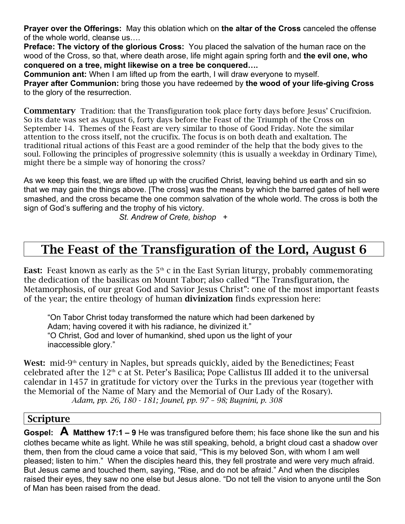**Prayer over the Offerings:** May this oblation which on **the altar of the Cross** canceled the offense of the whole world, cleanse us….

**Preface: The victory of the glorious Cross:** You placed the salvation of the human race on the wood of the Cross, so that, where death arose, life might again spring forth and **the evil one, who conquered on a tree, might likewise on a tree be conquered….**

**Communion ant:** When I am lifted up from the earth, I will draw everyone to myself. **Prayer after Communion:** bring those you have redeemed by **the wood of your life-giving Cross** to the glory of the resurrection.

Commentary Tradition: that the Transfiguration took place forty days before Jesus' Crucifixion. So its date was set as August 6, forty days before the Feast of the Triumph of the Cross on September 14. Themes of the Feast are very similar to those of Good Friday. Note the similar attention to the cross itself, not the crucifix. The focus is on both death and exaltation. The traditional ritual actions of this Feast are a good reminder of the help that the body gives to the soul. Following the principles of progressive solemnity (this is usually a weekday in Ordinary Time), might there be a simple way of honoring the cross?

As we keep this feast, we are lifted up with the crucified Christ, leaving behind us earth and sin so that we may gain the things above. [The cross] was the means by which the barred gates of hell were smashed, and the cross became the one common salvation of the whole world. The cross is both the sign of God's suffering and the trophy of his victory.

*St. Andrew of Crete, bishop +*

# The Feast of the Transfiguration of the Lord, August 6

East: Feast known as early as the  $5<sup>th</sup>$  c in the East Syrian liturgy, probably commemorating the dedication of the basilicas on Mount Tabor; also called "The Transfiguration, the Metamorphosis, of our great God and Savior Jesus Christ": one of the most important feasts of the year; the entire theology of human divinization finds expression here:

"On Tabor Christ today transformed the nature which had been darkened by Adam; having covered it with his radiance, he divinized it." "O Christ, God and lover of humankind, shed upon us the light of your inaccessible glory."

West:  $mid-9<sup>th</sup>$  century in Naples, but spreads quickly, aided by the Benedictines; Feast celebrated after the 12th c at St. Peter's Basilica; Pope Callistus III added it to the universal calendar in 1457 in gratitude for victory over the Turks in the previous year (together with the Memorial of the Name of Mary and the Memorial of Our Lady of the Rosary). *Adam, pp. 26, 180 - 181; Jounel, pp. 97 – 98; Bugnini, p. 308*

### Scripture

**Gospel: A Matthew 17:1 – 9** He was transfigured before them; his face shone like the sun and his clothes became white as light. While he was still speaking, behold, a bright cloud cast a shadow over them, then from the cloud came a voice that said, "This is my beloved Son, with whom I am well pleased; listen to him."When the disciples heard this, they fell prostrate and were very much afraid. But Jesus came and touched them, saying, "Rise, and do not be afraid." And when the disciples raised their eyes, they saw no one else but Jesus alone. "Do not tell the vision to anyone until the Son of Man has been raised from the dead.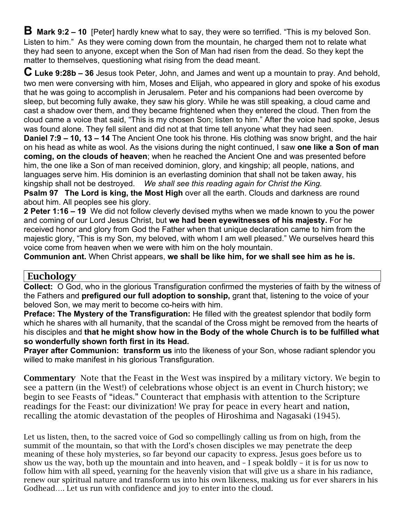**B** Mark 9:2 – 10 [Peter] hardly knew what to say, they were so terrified. "This is my beloved Son. Listen to him."As they were coming down from the mountain, he charged them not to relate what they had seen to anyone, except when the Son of Man had risen from the dead. So they kept the matter to themselves, questioning what rising from the dead meant.

**C Luke 9:28b – <sup>36</sup>**Jesus took Peter, John, and James and went up a mountain to pray. And behold, two men were conversing with him, Moses and Elijah, who appeared in glory and spoke of his exodus that he was going to accomplish in Jerusalem. Peter and his companions had been overcome by sleep, but becoming fully awake, they saw his glory. While he was still speaking, a cloud came and cast a shadow over them, and they became frightened when they entered the cloud. Then from the cloud came a voice that said, "This is my chosen Son; listen to him." After the voice had spoke, Jesus was found alone. They fell silent and did not at that time tell anyone what they had seen.

**Daniel 7:9 – 10, 13 – 14** The Ancient One took his throne. His clothing was snow bright, and the hair on his head as white as wool. As the visions during the night continued, I saw **one like a Son of man coming, on the clouds of heaven**; when he reached the Ancient One and was presented before him, the one like a Son of man received dominion, glory, and kingship; all people, nations, and languages serve him. His dominion is an everlasting dominion that shall not be taken away, his kingship shall not be destroyed. *We shall see this reading again for Christ the King.*

**Psalm 97 The Lord is king, the Most High** over all the earth. Clouds and darkness are round about him. All peoples see his glory.

**2 Peter 1:16 – 19** We did not follow cleverly devised myths when we made known to you the power and coming of our Lord Jesus Christ, but **we had been eyewitnesses of his majesty.** For he received honor and glory from God the Father when that unique declaration came to him from the majestic glory, "This is my Son, my beloved, with whom I am well pleased." We ourselves heard this voice come from heaven when we were with him on the holy mountain.

**Communion ant.** When Christ appears, **we shall be like him, for we shall see him as he is.**

### Euchology

**Collect:** O God, who in the glorious Transfiguration confirmed the mysteries of faith by the witness of the Fathers and **prefigured our full adoption to sonship,** grant that, listening to the voice of your beloved Son, we may merit to become co-heirs with him.

**Preface: The Mystery of the Transfiguration:** He filled with the greatest splendor that bodily form which he shares with all humanity, that the scandal of the Cross might be removed from the hearts of his disciples and **that he might show how in the Body of the whole Church is to be fulfilled what so wonderfully shown forth first in its Head.**

**Prayer after Communion: transform us** into the likeness of your Son, whose radiant splendor you willed to make manifest in his glorious Transfiguration.

Commentary Note that the Feast in the West was inspired by a military victory. We begin to see a pattern (in the West!) of celebrations whose object is an event in Church history; we begin to see Feasts of "ideas." Counteract that emphasis with attention to the Scripture readings for the Feast: our divinization! We pray for peace in every heart and nation, recalling the atomic devastation of the peoples of Hiroshima and Nagasaki (1945).

Let us listen, then, to the sacred voice of God so compellingly calling us from on high, from the summit of the mountain, so that with the Lord's chosen disciples we may penetrate the deep meaning of these holy mysteries, so far beyond our capacity to express. Jesus goes before us to show us the way, both up the mountain and into heaven, and – I speak boldly – it is for us now to follow him with all speed, yearning for the heavenly vision that will give us a share in his radiance, renew our spiritual nature and transform us into his own likeness, making us for ever sharers in his Godhead…. Let us run with confidence and joy to enter into the cloud.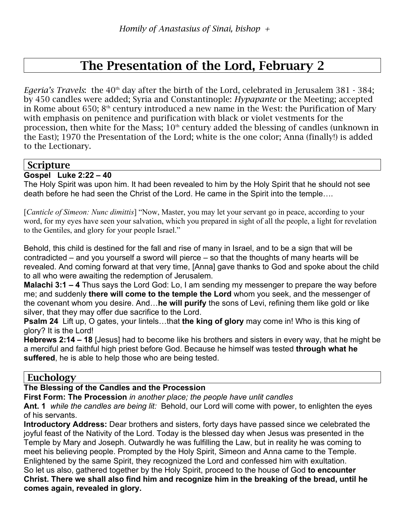# The Presentation of the Lord, February 2

*Egeria's Travels*: the 40<sup>th</sup> day after the birth of the Lord, celebrated in Jerusalem 381 - 384; by 450 candles were added; Syria and Constantinople: *Hypapante* or the Meeting; accepted in Rome about 650;  $8<sup>th</sup>$  century introduced a new name in the West: the Purification of Mary with emphasis on penitence and purification with black or violet vestments for the procession, then white for the Mass;  $10<sup>th</sup>$  century added the blessing of candles (unknown in the East); 1970 the Presentation of the Lord; white is the one color; Anna (finally!) is added to the Lectionary.

### Scripture

**Gospel Luke 2:22 – 40**

The Holy Spirit was upon him. It had been revealed to him by the Holy Spirit that he should not see death before he had seen the Christ of the Lord. He came in the Spirit into the temple….

[*Canticle of Simeon: Nunc dimittis*] "Now, Master, you may let your servant go in peace, according to your word, for my eyes have seen your salvation, which you prepared in sight of all the people, a light for revelation to the Gentiles, and glory for your people Israel."

Behold, this child is destined for the fall and rise of many in Israel, and to be a sign that will be contradicted – and you yourself a sword will pierce – so that the thoughts of many hearts will be revealed. And coming forward at that very time, [Anna] gave thanks to God and spoke about the child to all who were awaiting the redemption of Jerusalem.

**Malachi 3:1 – 4** Thus says the Lord God: Lo, I am sending my messenger to prepare the way before me; and suddenly **there will come to the temple the Lord** whom you seek, and the messenger of the covenant whom you desire. And…**he will purify** the sons of Levi, refining them like gold or like silver, that they may offer due sacrifice to the Lord.

**Psalm 24** Lift up, O gates, your lintels…that **the king of glory** may come in! Who is this king of glory? It is the Lord!

**Hebrews 2:14 – 18** [Jesus] had to become like his brothers and sisters in every way, that he might be a merciful and faithful high priest before God. Because he himself was tested **through what he suffered**, he is able to help those who are being tested.

## Euchology

#### **The Blessing of the Candles and the Procession**

**First Form: The Procession** *in another place; the people have unlit candles*

**Ant. 1** *while the candles are being lit:* Behold, our Lord will come with power, to enlighten the eyes of his servants.

**Introductory Address:** Dear brothers and sisters, forty days have passed since we celebrated the joyful feast of the Nativity of the Lord. Today is the blessed day when Jesus was presented in the Temple by Mary and Joseph. Outwardly he was fulfilling the Law, but in reality he was coming to meet his believing people. Prompted by the Holy Spirit, Simeon and Anna came to the Temple. Enlightened by the same Spirit, they recognized the Lord and confessed him with exultation. So let us also, gathered together by the Holy Spirit, proceed to the house of God **to encounter Christ. There we shall also find him and recognize him in the breaking of the bread, until he comes again, revealed in glory.**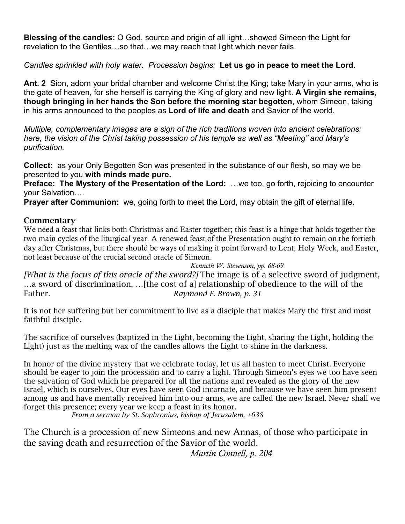**Blessing of the candles:** O God, source and origin of all light…showed Simeon the Light for revelation to the Gentiles…so that…we may reach that light which never fails.

*Candles sprinkled with holy water. Procession begins:* **Let us go in peace to meet the Lord.**

**Ant. 2** Sion, adorn your bridal chamber and welcome Christ the King; take Mary in your arms, who is the gate of heaven, for she herself is carrying the King of glory and new light. **A Virgin she remains, though bringing in her hands the Son before the morning star begotten**, whom Simeon, taking in his arms announced to the peoples as **Lord of life and death** and Savior of the world.

*Multiple, complementary images are a sign of the rich traditions woven into ancient celebrations: here, the vision of the Christ taking possession of his temple as well as "Meeting" and Mary's purification.*

**Collect:** as your Only Begotten Son was presented in the substance of our flesh, so may we be presented to you **with minds made pure.**

**Preface: The Mystery of the Presentation of the Lord:** …we too, go forth, rejoicing to encounter your Salvation….

**Prayer after Communion:** we, going forth to meet the Lord, may obtain the gift of eternal life.

#### **Commentary**

We need a feast that links both Christmas and Easter together; this feast is a hinge that holds together the two main cycles of the liturgical year. A renewed feast of the Presentation ought to remain on the fortieth day after Christmas, but there should be ways of making it point forward to Lent, Holy Week, and Easter, not least because of the crucial second oracle of Simeon.

*Kenneth W. Stevenson, pp. 68-69*

*[What is the focus of this oracle of the sword?]* The image is of a selective sword of judgment, …a sword of discrimination, …[the cost of a] relationship of obedience to the will of the Father. *Raymond E. Brown, p. 31*

It is not her suffering but her commitment to live as a disciple that makes Mary the first and most faithful disciple.

The sacrifice of ourselves (baptized in the Light, becoming the Light, sharing the Light, holding the Light) just as the melting wax of the candles allows the Light to shine in the darkness.

In honor of the divine mystery that we celebrate today, let us all hasten to meet Christ. Everyone should be eager to join the procession and to carry a light. Through Simeon's eyes we too have seen the salvation of God which he prepared for all the nations and revealed as the glory of the new Israel, which is ourselves. Our eyes have seen God incarnate, and because we have seen him present among us and have mentally received him into our arms, we are called the new Israel. Never shall we forget this presence; every year we keep a feast in its honor.

*From a sermon by St. Sophronius, bishop of Jerusalem, +638*

The Church is a procession of new Simeons and new Annas, of those who participate in the saving death and resurrection of the Savior of the world.

*Martin Connell, p. 204*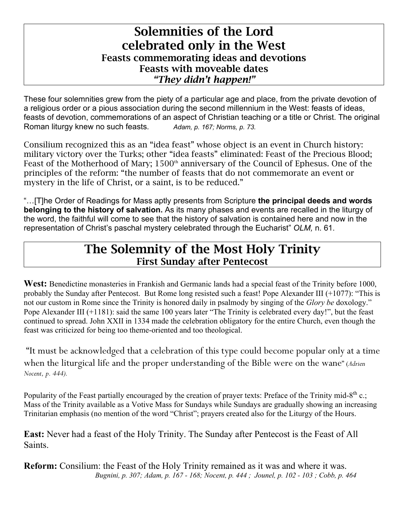# Solemnities of the Lord celebrated only in the West Feasts commemorating ideas and devotions Feasts with moveable dates *"They didn't happen!"*

These four solemnities grew from the piety of a particular age and place, from the private devotion of a religious order or a pious association during the second millennium in the West: feasts of ideas, feasts of devotion, commemorations of an aspect of Christian teaching or a title or Christ. The original Roman liturgy knew no such feasts. *Adam, p. 167; Norms, p. 73.*

Consilium recognized this as an "idea feast" whose object is an event in Church history: military victory over the Turks; other "idea feasts" eliminated: Feast of the Precious Blood; Feast of the Motherhood of Mary; 1500<sup>th</sup> anniversary of the Council of Ephesus. One of the principles of the reform: "the number of feasts that do not commemorate an event or mystery in the life of Christ, or a saint, is to be reduced."

"…[T]he Order of Readings for Mass aptly presents from Scripture **the principal deeds and words belonging to the history of salvation.** As its many phases and events are recalled in the liturgy of the word, the faithful will come to see that the history of salvation is contained here and now in the representation of Christ's paschal mystery celebrated through the Eucharist" *OLM,* n. 61.

# The Solemnity of the Most Holy Trinity First Sunday after Pentecost

**West:** Benedictine monasteries in Frankish and Germanic lands had a special feast of the Trinity before 1000, probably the Sunday after Pentecost. But Rome long resisted such a feast! Pope Alexander III (+1077): "This is not our custom in Rome since the Trinity is honored daily in psalmody by singing of the *Glory be* doxology." Pope Alexander III (+1181): said the same 100 years later "The Trinity is celebrated every day!", but the feast continued to spread. John XXII in 1334 made the celebration obligatory for the entire Church, even though the feast was criticized for being too theme-oriented and too theological.

"It must be acknowledged that a celebration of this type could become popular only at a time when the liturgical life and the proper understanding of the Bible were on the wane" (*Adrien Nocent, p. 444).*

Popularity of the Feast partially encouraged by the creation of prayer texts: Preface of the Trinity mid-8<sup>th</sup> c.; Mass of the Trinity available as a Votive Mass for Sundays while Sundays are gradually showing an increasing Trinitarian emphasis (no mention of the word "Christ"; prayers created also for the Liturgy of the Hours.

**East:** Never had a feast of the Holy Trinity. The Sunday after Pentecost is the Feast of All Saints.

**Reform:** Consilium: the Feast of the Holy Trinity remained as it was and where it was. *Bugnini, p. 307; Adam, p. 167 - 168; Nocent, p. 444 ; Jounel, p. 102 - 103 ; Cobb, p. 464*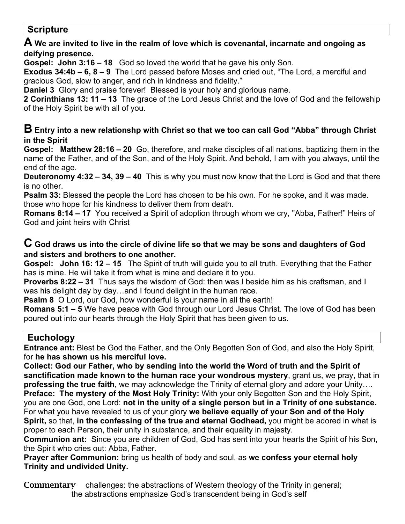## **Scripture**

### **A We are invited to live in the realm of love which is covenantal, incarnate and ongoing as deifying presence.**

**Gospel: John 3:16 – 18** God so loved the world that he gave his only Son.

**Exodus 34:4b – 6, 8 – 9** The Lord passed before Moses and cried out, "The Lord, a merciful and gracious God, slow to anger, and rich in kindness and fidelity."

**Daniel 3** Glory and praise forever! Blessed is your holy and glorious name.

**2 Corinthians 13: 11 – 13** The grace of the Lord Jesus Christ and the love of God and the fellowship of the Holy Spirit be with all of you.

### **B Entry into a new relationshp with Christ so that we too can call God "Abba" through Christ in the Spirit**

**Gospel: Matthew 28:16 – 20** Go, therefore, and make disciples of all nations, baptizing them in the name of the Father, and of the Son, and of the Holy Spirit. And behold, I am with you always, until the end of the age.

**Deuteronomy 4:32 – 34, 39 – 40** This is why you must now know that the Lord is God and that there is no other.

**Psalm 33:** Blessed the people the Lord has chosen to be his own. For he spoke, and it was made. those who hope for his kindness to deliver them from death.

**Romans 8:14 – 17** You received a Spirit of adoption through whom we cry, "Abba, Father!" Heirs of God and joint heirs with Christ

### **C God draws us into the circle of divine life so that we may be sons and daughters of God and sisters and brothers to one another.**

**Gospel: John 16: 12 – 15** The Spirit of truth will guide you to all truth. Everything that the Father has is mine. He will take it from what is mine and declare it to you.

**Proverbs 8:22 – 31** Thus says the wisdom of God: then was I beside him as his craftsman, and I was his delight day by day…and I found delight in the human race.

**Psalm 8** O Lord, our God, how wonderful is your name in all the earth!

**Romans 5:1 – 5** We have peace with God through our Lord Jesus Christ. The love of God has been poured out into our hearts through the Holy Spirit that has been given to us.

## **Euchology**

**Entrance ant:** Blest be God the Father, and the Only Begotten Son of God, and also the Holy Spirit, for **he has shown us his merciful love.**

**Collect: God our Father, who by sending into the world the Word of truth and the Spirit of sanctification made known to the human race your wondrous mystery**, grant us, we pray, that in **professing the true faith**, we may acknowledge the Trinity of eternal glory and adore your Unity….

**Preface: The mystery of the Most Holy Trinity:** With your only Begotten Son and the Holy Spirit, you are one God, one Lord: **not in the unity of a single person but in a Trinity of one substance.** For what you have revealed to us of your glory **we believe equally of your Son and of the Holy Spirit,** so that, **in the confessing of the true and eternal Godhead,** you might be adored in what is proper to each Person, their unity in substance, and their equality in majesty.

**Communion ant:** Since you are children of God, God has sent into your hearts the Spirit of his Son, the Spirit who cries out: Abba, Father.

**Prayer after Communion:** bring us health of body and soul, as **we confess your eternal holy Trinity and undivided Unity.**

Commentary challenges: the abstractions of Western theology of the Trinity in general; the abstractions emphasize God's transcendent being in God's self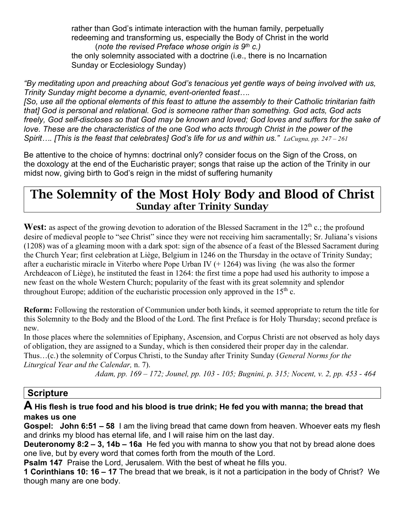rather than God's intimate interaction with the human family, perpetually redeeming and transforming us, especially the Body of Christ in the world (*note the revised Preface whose origin is 9th c.)* the only solemnity associated with a doctrine (i.e., there is no Incarnation Sunday or Ecclesiology Sunday)

*"By meditating upon and preaching about God's tenacious yet gentle ways of being involved with us, Trinity Sunday might become a dynamic, event-oriented feast….*

*[So, use all the optional elements of this feast to attune the assembly to their Catholic trinitarian faith that] God is personal and relational. God is someone rather than something. God acts, God acts freely, God self-discloses so that God may be known and loved; God loves and suffers for the sake of*  love. These are the characteristics of the one God who acts through Christ in the power of the *Spirit…. [This is the feast that celebrates] God's life for us and within us." LaCugna, pp. 247 – 261*

Be attentive to the choice of hymns: doctrinal only? consider focus on the Sign of the Cross, on the doxology at the end of the Eucharistic prayer; songs that raise up the action of the Trinity in our midst now, giving birth to God's reign in the midst of suffering humanity

# The Solemnity of the Most Holy Body and Blood of Christ Sunday after Trinity Sunday

West: as aspect of the growing devotion to adoration of the Blessed Sacrament in the 12<sup>th</sup> c.; the profound desire of medieval people to "see Christ" since they were not receiving him sacramentally; Sr. Juliana's visions (1208) was of a gleaming moon with a dark spot: sign of the absence of a feast of the Blessed Sacrament during the Church Year; first celebration at Liège, Belgium in 1246 on the Thursday in the octave of Trinity Sunday; after a eucharistic miracle in Viterbo where Pope Urban IV (+ 1264) was living (he was also the former Archdeacon of Liège), he instituted the feast in 1264: the first time a pope had used his authority to impose a new feast on the whole Western Church; popularity of the feast with its great solemnity and splendor throughout Europe; addition of the eucharistic procession only approved in the  $15<sup>th</sup>$  c.

**Reform:** Following the restoration of Communion under both kinds, it seemed appropriate to return the title for this Solemnity to the Body and the Blood of the Lord. The first Preface is for Holy Thursday; second preface is new.

In those places where the solemnities of Epiphany, Ascension, and Corpus Christi are not observed as holy days of obligation, they are assigned to a Sunday, which is then considered their proper day in the calendar. Thus…(c.) the solemnity of Corpus Christi, to the Sunday after Trinity Sunday (*General Norms for the* 

*Liturgical Year and the Calendar,* n. 7).

*Adam, pp. 169 – 172; Jounel, pp. 103 - 105; Bugnini, p. 315; Nocent, v. 2, pp. 453 - 464*

## **Scripture**

#### **A His flesh is true food and his blood is true drink; He fed you with manna; the bread that makes us one**

**Gospel: John 6:51 – 58** I am the living bread that came down from heaven. Whoever eats my flesh and drinks my blood has eternal life, and I will raise him on the last day.

**Deuteronomy 8:2 – 3, 14b – 16a** He fed you with manna to show you that not by bread alone does one live, but by every word that comes forth from the mouth of the Lord.

**Psalm 147** Praise the Lord, Jerusalem. With the best of wheat he fills you.

**1 Corinthians 10: 16 – 17** The bread that we break, is it not a participation in the body of Christ? We though many are one body.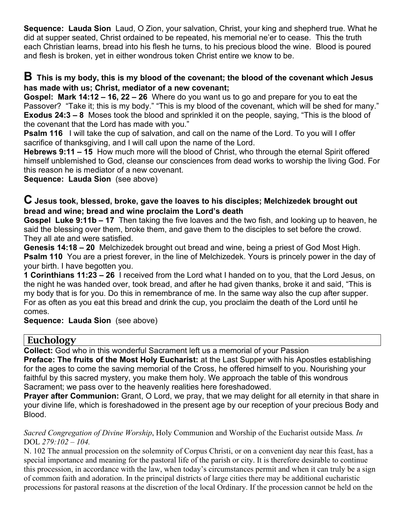**Sequence: Lauda Sion** Laud, O Zion, your salvation, Christ, your king and shepherd true. What he did at supper seated, Christ ordained to be repeated, his memorial ne'er to cease. This the truth each Christian learns, bread into his flesh he turns, to his precious blood the wine. Blood is poured and flesh is broken, yet in either wondrous token Christ entire we know to be.

### **B This is my body, this is my blood of the covenant; the blood of the covenant which Jesus has made with us; Christ, mediator of a new covenant;**

**Gospel: Mark 14:12 – 16, 22 – 26** Where do you want us to go and prepare for you to eat the Passover? "Take it; this is my body." "This is my blood of the covenant, which will be shed for many." **Exodus 24:3 – 8** Moses took the blood and sprinkled it on the people, saying, "This is the blood of the covenant that the Lord has made with you."

**Psalm 116** I will take the cup of salvation, and call on the name of the Lord. To you will I offer sacrifice of thanksgiving, and I will call upon the name of the Lord.

**Hebrews 9:11 – 15** How much more will the blood of Christ, who through the eternal Spirit offered himself unblemished to God, cleanse our consciences from dead works to worship the living God. For this reason he is mediator of a new covenant.

**Sequence: Lauda Sion** (see above)

### **C Jesus took, blessed, broke, gave the loaves to his disciples; Melchizedek brought out bread and wine; bread and wine proclaim the Lord's death**

**Gospel Luke 9:11b – 17** Then taking the five loaves and the two fish, and looking up to heaven, he said the blessing over them, broke them, and gave them to the disciples to set before the crowd. They all ate and were satisfied.

**Genesis 14:18 – 20** Melchizedek brought out bread and wine, being a priest of God Most High. **Psalm 110** You are a priest forever, in the line of Melchizedek. Yours is princely power in the day of your birth. I have begotten you.

**1 Corinthians 11:23 – 26** I received from the Lord what I handed on to you, that the Lord Jesus, on the night he was handed over, took bread, and after he had given thanks, broke it and said, "This is my body that is for you. Do this in remembrance of me. In the same way also the cup after supper. For as often as you eat this bread and drink the cup, you proclaim the death of the Lord until he comes.

**Sequence: Lauda Sion** (see above)

### Euchology

**Collect:** God who in this wonderful Sacrament left us a memorial of your Passion

**Preface: The fruits of the Most Holy Eucharist:** at the Last Supper with his Apostles establishing for the ages to come the saving memorial of the Cross, he offered himself to you. Nourishing your faithful by this sacred mystery, you make them holy. We approach the table of this wondrous Sacrament; we pass over to the heavenly realities here foreshadowed.

**Prayer after Communion:** Grant, O Lord, we pray, that we may delight for all eternity in that share in your divine life, which is foreshadowed in the present age by our reception of your precious Body and Blood.

*Sacred Congregation of Divine Worship*, Holy Communion and Worship of the Eucharist outside Mass*. In* DOL *279:102 – 104.*

N. 102 The annual procession on the solemnity of Corpus Christi, or on a convenient day near this feast, has a special importance and meaning for the pastoral life of the parish or city. It is therefore desirable to continue this procession, in accordance with the law, when today's circumstances permit and when it can truly be a sign of common faith and adoration. In the principal districts of large cities there may be additional eucharistic processions for pastoral reasons at the discretion of the local Ordinary. If the procession cannot be held on the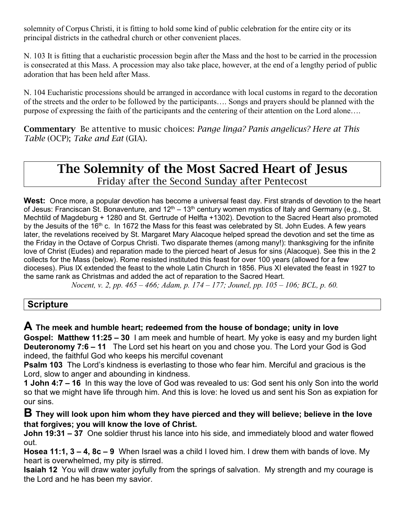solemnity of Corpus Christi, it is fitting to hold some kind of public celebration for the entire city or its principal districts in the cathedral church or other convenient places.

N. 103 It is fitting that a eucharistic procession begin after the Mass and the host to be carried in the procession is consecrated at this Mass. A procession may also take place, however, at the end of a lengthy period of public adoration that has been held after Mass.

N. 104 Eucharistic processions should be arranged in accordance with local customs in regard to the decoration of the streets and the order to be followed by the participants…. Songs and prayers should be planned with the purpose of expressing the faith of the participants and the centering of their attention on the Lord alone….

Commentary Be attentive to music choices: *Pange linga? Panis angelicus? Here at This Table* (OCP); *Take and Eat* (GIA).

# The Solemnity of the Most Sacred Heart of Jesus Friday after the Second Sunday after Pentecost

**West:** Once more, a popular devotion has become a universal feast day. First strands of devotion to the heart of Jesus: Franciscan St. Bonaventure, and  $12<sup>th</sup> - 13<sup>th</sup>$  century women mystics of Italy and Germany (e.g., St. Mechtild of Magdeburg + 1280 and St. Gertrude of Helfta +1302). Devotion to the Sacred Heart also promoted by the Jesuits of the 16<sup>th</sup> c. In 1672 the Mass for this feast was celebrated by St. John Eudes. A few years later, the revelations received by St. Margaret Mary Alacoque helped spread the devotion and set the time as the Friday in the Octave of Corpus Christi. Two disparate themes (among many!): thanksgiving for the infinite love of Christ (Eudes) and reparation made to the pierced heart of Jesus for sins (Alacoque). See this in the 2 collects for the Mass (below). Rome resisted instituted this feast for over 100 years (allowed for a few dioceses). Pius IX extended the feast to the whole Latin Church in 1856. Pius XI elevated the feast in 1927 to the same rank as Christmas and added the act of reparation to the Sacred Heart.

*Nocent, v. 2, pp. 465 – 466; Adam, p. 174 – 177; Jounel, pp. 105 – 106; BCL, p. 60.*

# **Scripture**

**A The meek and humble heart; redeemed from the house of bondage; unity in love**

**Gospel: Matthew 11:25 – 30** I am meek and humble of heart. My yoke is easy and my burden light **Deuteronomy 7:6 – 11** The Lord set his heart on you and chose you. The Lord your God is God indeed, the faithful God who keeps his merciful covenant

**Psalm 103** The Lord's kindness is everlasting to those who fear him. Merciful and gracious is the Lord, slow to anger and abounding in kindness.

**1 John 4:7 – 16** In this way the love of God was revealed to us: God sent his only Son into the world so that we might have life through him. And this is love: he loved us and sent his Son as expiation for our sins.

**B They will look upon him whom they have pierced and they will believe; believe in the love that forgives; you will know the love of Christ.**

**John 19:31 – 37** One soldier thrust his lance into his side, and immediately blood and water flowed out.

**Hosea 11:1, 3 – 4, 8c – 9** When Israel was a child I loved him. I drew them with bands of love. My heart is overwhelmed, my pity is stirred.

**Isaiah 12** You will draw water joyfully from the springs of salvation. My strength and my courage is the Lord and he has been my savior.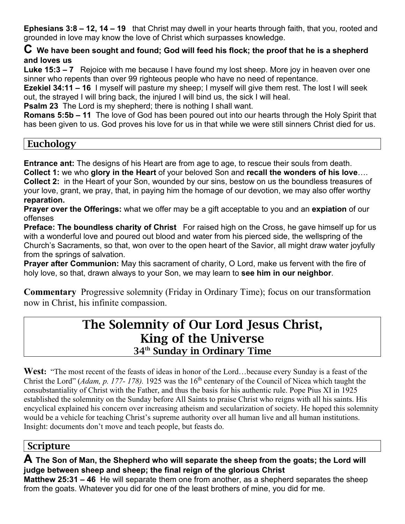**Ephesians 3:8 – 12, 14 – 19** that Christ may dwell in your hearts through faith, that you, rooted and grounded in love may know the love of Christ which surpasses knowledge.

**C We have been sought and found; God will feed his flock; the proof that he is a shepherd and loves us**

**Luke 15:3 – 7** Rejoice with me because I have found my lost sheep. More joy in heaven over one sinner who repents than over 99 righteous people who have no need of repentance.

**Ezekiel 34:11 – 16** I myself will pasture my sheep; I myself will give them rest. The lost I will seek out, the strayed I will bring back, the injured I will bind us, the sick I will heal.

**Psalm 23** The Lord is my shepherd; there is nothing I shall want.

**Romans 5:5b – 11** The love of God has been poured out into our hearts through the Holy Spirit that has been given to us. God proves his love for us in that while we were still sinners Christ died for us.

## **Euchology**

**Entrance ant:** The designs of his Heart are from age to age, to rescue their souls from death. **Collect 1:** we who **glory in the Heart** of your beloved Son and **recall the wonders of his love**…. **Collect 2:** in the Heart of your Son, wounded by our sins, bestow on us the boundless treasures of your love, grant, we pray, that, in paying him the homage of our devotion, we may also offer worthy **reparation.**

**Prayer over the Offerings:** what we offer may be a gift acceptable to you and an **expiation** of our offenses

**Preface: The boundless charity of Christ** For raised high on the Cross, he gave himself up for us with a wonderful love and poured out blood and water from his pierced side, the wellspring of the Church's Sacraments, so that, won over to the open heart of the Savior, all might draw water joyfully from the springs of salvation.

**Prayer after Communion:** May this sacrament of charity, O Lord, make us fervent with the fire of holy love, so that, drawn always to your Son, we may learn to **see him in our neighbor**.

**Commentary** Progressive solemnity (Friday in Ordinary Time); focus on our transformation now in Christ, his infinite compassion.

# The Solemnity of Our Lord Jesus Christ, King of the Universe 34<sup>th</sup> Sunday in Ordinary Time

West: "The most recent of the feasts of ideas in honor of the Lord...because every Sunday is a feast of the Christ the Lord" (*Adam, p. 177- 178).* 1925 was the 16th centenary of the Council of Nicea which taught the consubstantiality of Christ with the Father, and thus the basis for his authentic rule. Pope Pius XI in 1925 established the solemnity on the Sunday before All Saints to praise Christ who reigns with all his saints. His encyclical explained his concern over increasing atheism and secularization of society. He hoped this solemnity would be a vehicle for teaching Christ's supreme authority over all human live and all human institutions. Insight: documents don't move and teach people, but feasts do.

# Scripture

**A The Son of Man, the Shepherd who will separate the sheep from the goats; the Lord will judge between sheep and sheep; the final reign of the glorious Christ**

**Matthew 25:31 – 46** He will separate them one from another, as a shepherd separates the sheep from the goats. Whatever you did for one of the least brothers of mine, you did for me.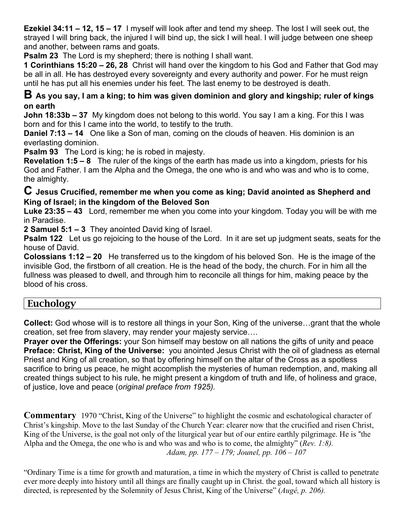**Ezekiel 34:11 – 12, 15 – 17** I myself will look after and tend my sheep. The lost I will seek out, the strayed I will bring back, the injured I will bind up, the sick I will heal. I will judge between one sheep and another, between rams and goats.

**Psalm 23** The Lord is my shepherd; there is nothing I shall want.

**1 Corinthians 15:20 – 26, 28** Christ will hand over the kingdom to his God and Father that God may be all in all. He has destroyed every sovereignty and every authority and power. For he must reign until he has put all his enemies under his feet. The last enemy to be destroyed is death.

### **B As you say, I am a king; to him was given dominion and glory and kingship; ruler of kings on earth**

**John 18:33b – 37** My kingdom does not belong to this world. You say I am a king. For this I was born and for this I came into the world, to testify to the truth.

**Daniel 7:13 – 14** One like a Son of man, coming on the clouds of heaven. His dominion is an everlasting dominion.

**Psalm 93** The Lord is king; he is robed in majesty.

**Revelation 1:5 – 8** The ruler of the kings of the earth has made us into a kingdom, priests for his God and Father. I am the Alpha and the Omega, the one who is and who was and who is to come, the almighty.

### **C Jesus Crucified, remember me when you come as king; David anointed as Shepherd and King of Israel; in the kingdom of the Beloved Son**

**Luke 23:35 – 43** Lord, remember me when you come into your kingdom. Today you will be with me in Paradise.

**2 Samuel 5:1 – 3** They anointed David king of Israel.

**Psalm 122** Let us go rejoicing to the house of the Lord. In it are set up judgment seats, seats for the house of David.

**Colossians 1:12 – 20** He transferred us to the kingdom of his beloved Son. He is the image of the invisible God, the firstborn of all creation. He is the head of the body, the church. For in him all the fullness was pleased to dwell, and through him to reconcile all things for him, making peace by the blood of his cross.

# Euchology

**Collect:** God whose will is to restore all things in your Son, King of the universe…grant that the whole creation, set free from slavery, may render your majesty service….

**Prayer over the Offerings:** your Son himself may bestow on all nations the gifts of unity and peace **Preface: Christ, King of the Universe:** you anointed Jesus Christ with the oil of gladness as eternal Priest and King of all creation, so that by offering himself on the altar of the Cross as a spotless sacrifice to bring us peace, he might accomplish the mysteries of human redemption, and, making all created things subject to his rule, he might present a kingdom of truth and life, of holiness and grace, of justice, love and peace (*original preface from 1925).*

**Commentary** 1970 "Christ, King of the Universe" to highlight the cosmic and eschatological character of Christ's kingship. Move to the last Sunday of the Church Year: clearer now that the crucified and risen Christ, King of the Universe, is the goal not only of the liturgical year but of our entire earthly pilgrimage. He is "the Alpha and the Omega, the one who is and who was and who is to come, the almighty" (*Rev. 1:8). Adam, pp. 177 – 179; Jounel, pp. 106 – 107*

"Ordinary Time is a time for growth and maturation, a time in which the mystery of Christ is called to penetrate ever more deeply into history until all things are finally caught up in Christ. the goal, toward which all history is directed, is represented by the Solemnity of Jesus Christ, King of the Universe" (*Augé, p. 206).*